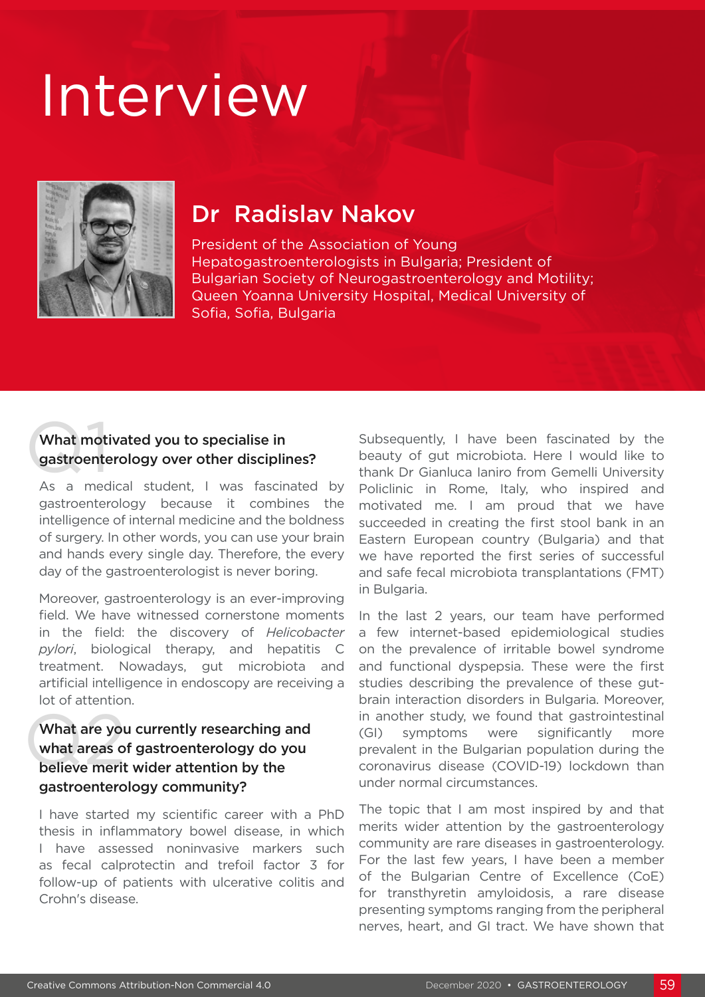# Interview



# Dr Radislav Nakov

President of the Association of Young Hepatogastroenterologists in Bulgaria; President of Bulgarian Society of Neurogastroenterology and Motility; Queen Yoanna University Hospital, Medical University of Sofia, Sofia, Bulgaria

## What moti<br>gastroente What motivated you to specialise in gastroenterology over other disciplines?

As a medical student, I was fascinated by gastroenterology because it combines the intelligence of internal medicine and the boldness of surgery. In other words, you can use your brain and hands every single day. Therefore, the every day of the gastroenterologist is never boring.

Moreover, gastroenterology is an ever-improving field. We have witnessed cornerstone moments in the field: the discovery of *Helicobacter pylori*, biological therapy, and hepatitis C treatment. Nowadays, gut microbiota and artificial intelligence in endoscopy are receiving a lot of attention.

#### What are you<br>what areas o<br>believe merit What are you currently researching and what areas of gastroenterology do you believe merit wider attention by the gastroenterology community?

I have started my scientific career with a PhD thesis in inflammatory bowel disease, in which I have assessed noninvasive markers such as fecal calprotectin and trefoil factor 3 for follow-up of patients with ulcerative colitis and Crohn's disease.

Subsequently, I have been fascinated by the beauty of gut microbiota. Here I would like to thank Dr Gianluca Ianiro from Gemelli University Policlinic in Rome, Italy, who inspired and motivated me. I am proud that we have succeeded in creating the first stool bank in an Eastern European country (Bulgaria) and that we have reported the first series of successful and safe fecal microbiota transplantations (FMT) in Bulgaria.

In the last 2 years, our team have performed a few internet-based epidemiological studies on the prevalence of irritable bowel syndrome and functional dyspepsia. These were the first studies describing the prevalence of these gutbrain interaction disorders in Bulgaria. Moreover, in another study, we found that gastrointestinal (GI) symptoms were significantly more prevalent in the Bulgarian population during the coronavirus disease (COVID-19) lockdown than under normal circumstances.

The topic that I am most inspired by and that merits wider attention by the gastroenterology community are rare diseases in gastroenterology. For the last few years, I have been a member of the Bulgarian Centre of Excellence (CoE) for transthyretin amyloidosis, a rare disease presenting symptoms ranging from the peripheral nerves, heart, and GI tract. We have shown that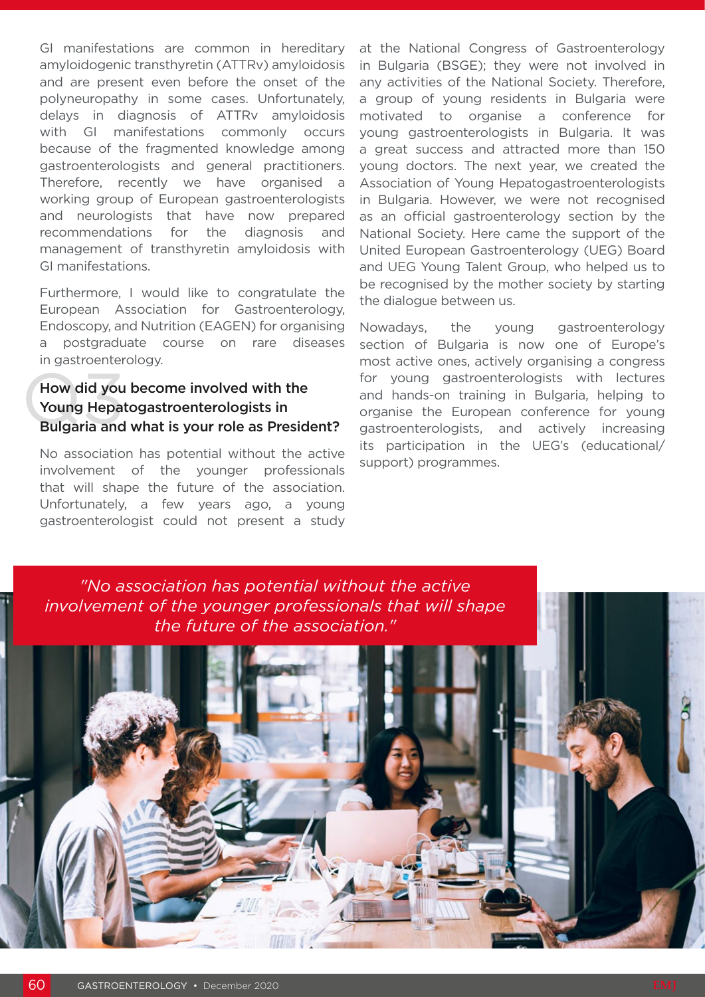GI manifestations are common in hereditary amyloidogenic transthyretin (ATTRv) amyloidosis and are present even before the onset of the polyneuropathy in some cases. Unfortunately, delays in diagnosis of ATTRv amyloidosis with GI manifestations commonly occurs because of the fragmented knowledge among gastroenterologists and general practitioners. Therefore, recently we have organised a working group of European gastroenterologists and neurologists that have now prepared recommendations for the diagnosis and management of transthyretin amyloidosis with GI manifestations.

Furthermore, I would like to congratulate the European Association for Gastroenterology, Endoscopy, and Nutrition (EAGEN) for organising a postgraduate course on rare diseases in gastroenterology.

#### How did you<br>Young Hepat<br>Bulgaria and How did you become involved with the Young Hepatogastroenterologists in Bulgaria and what is your role as President?

No association has potential without the active involvement of the younger professionals that will shape the future of the association. Unfortunately, a few years ago, a young gastroenterologist could not present a study at the National Congress of Gastroenterology in Bulgaria (BSGE); they were not involved in any activities of the National Society. Therefore, a group of young residents in Bulgaria were motivated to organise a conference for young gastroenterologists in Bulgaria. It was a great success and attracted more than 150 young doctors. The next year, we created the Association of Young Hepatogastroenterologists in Bulgaria. However, we were not recognised as an official gastroenterology section by the National Society. Here came the support of the United European Gastroenterology (UEG) Board and UEG Young Talent Group, who helped us to be recognised by the mother society by starting the dialogue between us.

Nowadays, the young gastroenterology section of Bulgaria is now one of Europe's most active ones, actively organising a congress for young gastroenterologists with lectures and hands-on training in Bulgaria, helping to organise the European conference for young gastroenterologists, and actively increasing its participation in the UEG's (educational/ support) programmes.

*"No association has potential without the active involvement of the younger professionals that will shape the future of the association."*